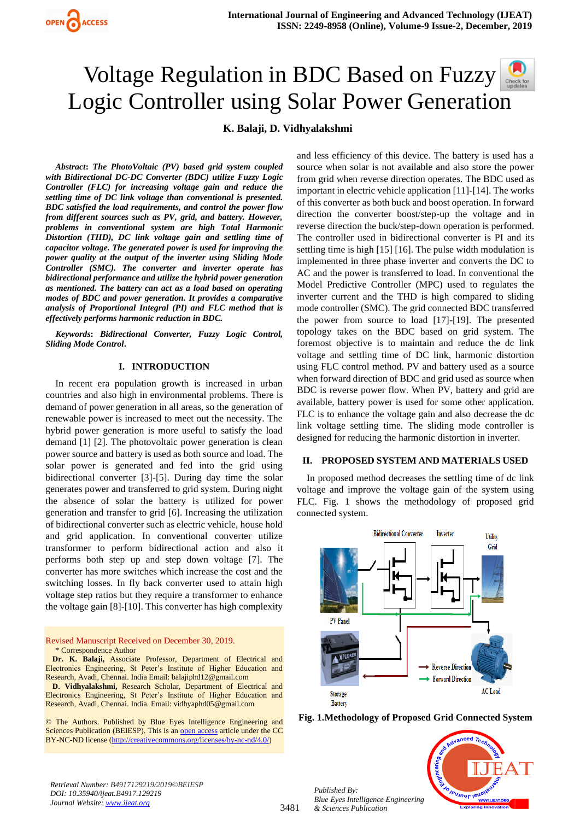

**K. Balaji, D. Vidhyalakshmi**

*Abstract***:** *The PhotoVoltaic (PV) based grid system coupled with Bidirectional DC-DC Converter (BDC) utilize Fuzzy Logic Controller (FLC) for increasing voltage gain and reduce the settling time of DC link voltage than conventional is presented. BDC satisfied the load requirements, and control the power flow from different sources such as PV, grid, and battery. However, problems in conventional system are high Total Harmonic Distortion (THD), DC link voltage gain and settling time of capacitor voltage. The generated power is used for improving the power quality at the output of the inverter using Sliding Mode Controller (SMC). The converter and inverter operate has bidirectional performance and utilize the hybrid power generation as mentioned. The battery can act as a load based on operating modes of BDC and power generation. It provides a comparative analysis of Proportional Integral (PI) and FLC method that is effectively performs harmonic reduction in BDC.*

*Keywords***:** *Bidirectional Converter, Fuzzy Logic Control, Sliding Mode Control***.**

### **I. INTRODUCTION**

In recent era population growth is increased in urban countries and also high in environmental problems. There is demand of power generation in all areas, so the generation of renewable power is increased to meet out the necessity. The hybrid power generation is more useful to satisfy the load demand [1] [2]. The photovoltaic power generation is clean power source and battery is used as both source and load. The solar power is generated and fed into the grid using bidirectional converter [3]-[5]. During day time the solar generates power and transferred to grid system. During night the absence of solar the battery is utilized for power generation and transfer to grid [6]. Increasing the utilization of bidirectional converter such as electric vehicle, house hold and grid application. In conventional converter utilize transformer to perform bidirectional action and also it performs both step up and step down voltage [7]. The converter has more switches which increase the cost and the switching losses. In fly back converter used to attain high voltage step ratios but they require a transformer to enhance the voltage gain [8]-[10]. This converter has high complexity

Revised Manuscript Received on December 30, 2019. \* Correspondence Author

**Dr. K. Balaji,** Associate Professor, Department of Electrical and Electronics Engineering, St Peter's Institute of Higher Education and Research, Avadi, Chennai. India Email: balajiphd12@gmail.com

**D. Vidhyalakshmi,** Research Scholar, Department of Electrical and Electronics Engineering, St Peter's Institute of Higher Education and Research, Avadi, Chennai. India. Email: vidhyaphd05@gmail.com

© The Authors. Published by Blue Eyes Intelligence Engineering and Sciences Publication (BEIESP). This is a[n open access](https://www.openaccess.nl/en/open-publications) article under the CC BY-NC-ND license [\(http://creativecommons.org/licenses/by-nc-nd/4.0/\)](http://creativecommons.org/licenses/by-nc-nd/4.0/)

and less efficiency of this device. The battery is used has a source when solar is not available and also store the power from grid when reverse direction operates. The BDC used as important in electric vehicle application [11]-[14]. The works of this converter as both buck and boost operation. In forward direction the converter boost/step-up the voltage and in reverse direction the buck/step-down operation is performed. The controller used in bidirectional converter is PI and its settling time is high [15] [16]. The pulse width modulation is implemented in three phase inverter and converts the DC to AC and the power is transferred to load. In conventional the Model Predictive Controller (MPC) used to regulates the inverter current and the THD is high compared to sliding mode controller (SMC). The grid connected BDC transferred the power from source to load [17]-[19]. The presented topology takes on the BDC based on grid system. The foremost objective is to maintain and reduce the dc link voltage and settling time of DC link, harmonic distortion using FLC control method. PV and battery used as a source when forward direction of BDC and grid used as source when BDC is reverse power flow. When PV, battery and grid are available, battery power is used for some other application. FLC is to enhance the voltage gain and also decrease the dc link voltage settling time. The sliding mode controller is designed for reducing the harmonic distortion in inverter.

### **II. PROPOSED SYSTEM AND MATERIALS USED**

In proposed method decreases the settling time of dc link voltage and improve the voltage gain of the system using FLC. Fig. 1 shows the methodology of proposed grid connected system.



**Fig. 1.Methodology of Proposed Grid Connected System**

**IBUJNOF IBU** 

*Retrieval Number: B4917129219/2019©BEIESP DOI: 10.35940/ijeat.B4917.129219 Journal Website[: www.ijeat.org](http://www.ijeat.org/)*

*Published By: Blue Eyes Intelligence Engineering & Sciences Publication*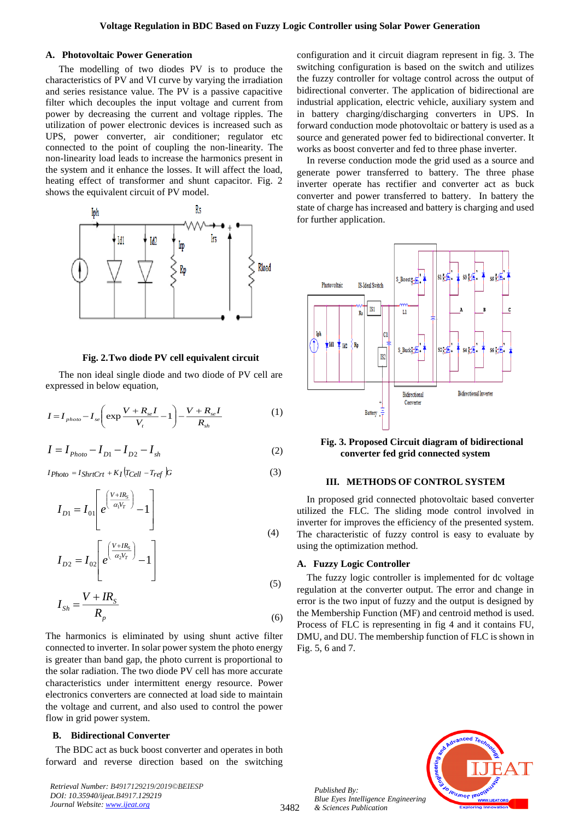### **A. Photovoltaic Power Generation**

The modelling of two diodes PV is to produce the characteristics of PV and VI curve by varying the irradiation and series resistance value. The PV is a passive capacitive filter which decouples the input voltage and current from power by decreasing the current and voltage ripples. The utilization of power electronic devices is increased such as UPS, power converter, air conditioner; regulator etc. connected to the point of coupling the non-linearity. The non-linearity load leads to increase the harmonics present in the system and it enhance the losses. It will affect the load, heating effect of transformer and shunt capacitor. Fig. 2 shows the equivalent circuit of PV model.



### **Fig. 2.Two diode PV cell equivalent circuit**

The non ideal single diode and two diode of PV cell are expressed in below equation,

$$
I = I_{photo} - I_{se} \left( \exp \frac{V + R_{se}I}{V_t} - 1 \right) - \frac{V + R_{se}I}{R_{sh}} \tag{1}
$$

$$
I = I_{Photo} - I_{D1} - I_{D2} - I_{sh}
$$
 (2)

$$
I_{Photo} = I_{ShortCrt} + K_I (T_{Cell} - T_{ref}) G
$$
\n(3)

$$
I_{D1} = I_{01} \left[ e^{\left(\frac{V + IR_S}{\alpha_1 V_T}\right)} - 1 \right]
$$
\n(4)

$$
I_{D2} = I_{02} \left[ e^{\left(\frac{V + IR_S}{\alpha_2 V_T}\right)} - 1 \right]
$$
\n(5)

$$
I_{Sh} = \frac{V + IR_s}{R_p} \tag{6}
$$

The harmonics is eliminated by using shunt active filter connected to inverter. In solar power system the photo energy is greater than band gap, the photo current is proportional to the solar radiation. The two diode PV cell has more accurate characteristics under intermittent energy resource. Power electronics converters are connected at load side to maintain the voltage and current, and also used to control the power flow in grid power system.

### **B. Bidirectional Converter**

The BDC act as buck boost converter and operates in both forward and reverse direction based on the switching

*Retrieval Number: B4917129219/2019©BEIESP DOI: 10.35940/ijeat.B4917.129219 Journal Website[: www.ijeat.org](http://www.ijeat.org/)*

configuration and it circuit diagram represent in fig. 3. The switching configuration is based on the switch and utilizes the fuzzy controller for voltage control across the output of bidirectional converter. The application of bidirectional are industrial application, electric vehicle, auxiliary system and in battery charging/discharging converters in UPS. In forward conduction mode photovoltaic or battery is used as a source and generated power fed to bidirectional converter. It works as boost converter and fed to three phase inverter.

In reverse conduction mode the grid used as a source and generate power transferred to battery. The three phase inverter operate has rectifier and converter act as buck converter and power transferred to battery. In battery the state of charge has increased and battery is charging and used for further application.



**Fig. 3. Proposed Circuit diagram of bidirectional converter fed grid connected system**

#### **III. METHODS OF CONTROL SYSTEM**

In proposed grid connected photovoltaic based converter utilized the FLC. The sliding mode control involved in inverter for improves the efficiency of the presented system. The characteristic of fuzzy control is easy to evaluate by using the optimization method.

# **A. Fuzzy Logic Controller**

The fuzzy logic controller is implemented for dc voltage regulation at the converter output. The error and change in error is the two input of fuzzy and the output is designed by the Membership Function (MF) and centroid method is used. Process of FLC is representing in fig 4 and it contains FU, DMU, and DU. The membership function of FLC is shown in Fig. 5, 6 and 7.



*Published By: Blue Eyes Intelligence Engineering & Sciences Publication*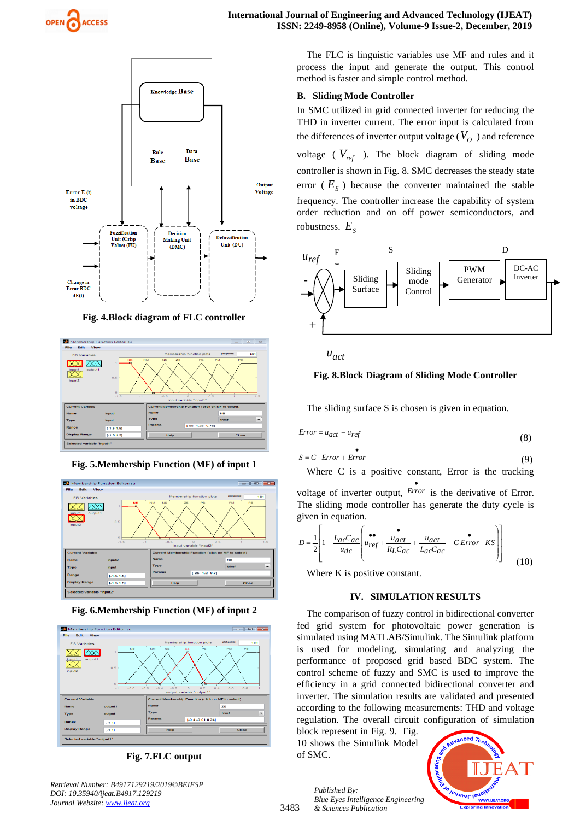



**Fig. 4.Block diagram of FLC controller**



**Fig. 5.Membership Function (MF) of input 1**







**Fig. 7.FLC output**

*Retrieval Number: B4917129219/2019©BEIESP DOI: 10.35940/ijeat.B4917.129219 Journal Website[: www.ijeat.org](http://www.ijeat.org/)*

The FLC is linguistic variables use MF and rules and it process the input and generate the output. This control method is faster and simple control method.

# **B. Sliding Mode Controller**

In SMC utilized in grid connected inverter for reducing the THD in inverter current. The error input is calculated from the differences of inverter output voltage ( $V<sub>O</sub>$ ) and reference voltage ( *<sup>V</sup>ref* ). The block diagram of sliding mode controller is shown in Fig. 8. SMC decreases the steady state error  $(E<sub>S</sub>)$  because the converter maintained the stable

frequency. The controller increase the capability of system order reduction and on off power semiconductors, and robustness.  $E<sub>S</sub>$ 



*act <sup>u</sup>*

# **Fig. 8.Block Diagram of Sliding Mode Controller**

The sliding surface S is chosen is given in equation.

$$
Error = u_{act} - u_{ref} \tag{8}
$$

$$
S = C \cdot Error + Error \tag{9}
$$

Where C is a positive constant, Error is the tracking voltage of inverter output, *Error* is the derivative of Error. •The sliding mode controller has generate the duty cycle is given in equation.

$$
D = \frac{1}{2} \left[ 1 + \frac{L_{ac}C_{ac}}{u_{dc}} \left( u_{ref} + \frac{u_{act}}{R_{LCac}} + \frac{u_{act}}{L_{ac}C_{ac}} - C \text{ Error} - \text{KS} \right) \right]
$$
(10)

Where K is positive constant.

# **IV. SIMULATION RESULTS**

The comparison of fuzzy control in bidirectional converter fed grid system for photovoltaic power generation is simulated using MATLAB/Simulink. The Simulink platform is used for modeling, simulating and analyzing the performance of proposed grid based BDC system. The control scheme of fuzzy and SMC is used to improve the efficiency in a grid connected bidirectional converter and inverter. The simulation results are validated and presented according to the following measurements: THD and voltage regulation. The overall circuit configuration of simulation

block represent in Fig. 9. Fig. 10 shows the Simulink Model of SMC.



*Published By: Blue Eyes Intelligence Engineering & Sciences Publication*

3483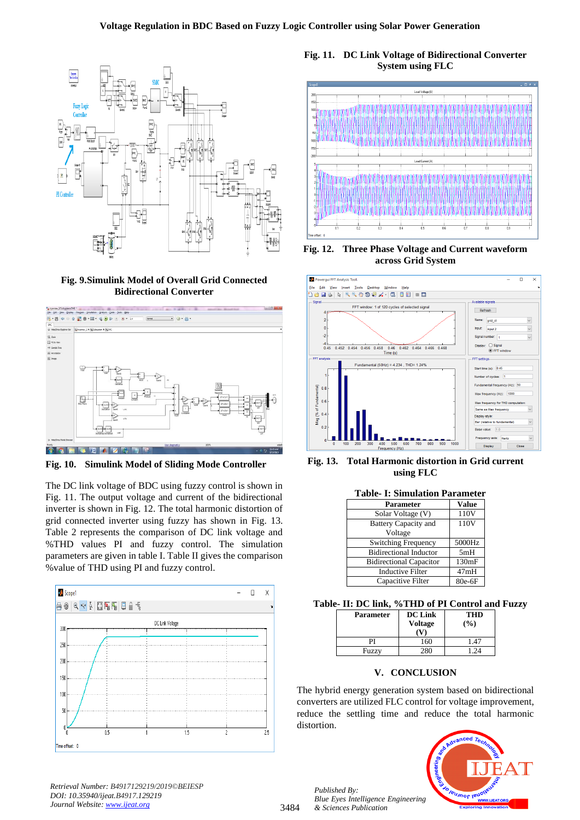

# **Fig. 9.Simulink Model of Overall Grid Connected Bidirectional Converter**



**Fig. 10. Simulink Model of Sliding Mode Controller**

The DC link voltage of BDC using fuzzy control is shown in Fig. 11. The output voltage and current of the bidirectional inverter is shown in Fig. 12. The total harmonic distortion of grid connected inverter using fuzzy has shown in Fig. 13. Table 2 represents the comparison of DC link voltage and %THD values PI and fuzzy control. The simulation parameters are given in table I. Table II gives the comparison %value of THD using PI and fuzzy control.



**Fig. 11. DC Link Voltage of Bidirectional Converter System using FLC**



**Fig. 12. Three Phase Voltage and Current waveform across Grid System**



**Fig. 13. Total Harmonic distortion in Grid current using FLC**

|  |  |  | <b>Table- I: Simulation Parameter</b> |
|--|--|--|---------------------------------------|
|--|--|--|---------------------------------------|

| <b>Parameter</b>               | <b>Value</b> |
|--------------------------------|--------------|
| Solar Voltage (V)              | 110V         |
| <b>Battery Capacity and</b>    | 110V         |
| Voltage                        |              |
| <b>Switching Frequency</b>     | 5000Hz       |
| <b>Bidirectional Inductor</b>  | 5mH          |
| <b>Bidirectional Capacitor</b> | 130mF        |
| <b>Inductive Filter</b>        | 47mH         |
| Capacitive Filter              | 80e-6F       |

**Table- II: DC link, %THD of PI Control and Fuzzy** 

| <b>Parameter</b> | <b>DC Link</b><br><b>Voltage</b> | THD<br>(%) |
|------------------|----------------------------------|------------|
| PI               | 160                              | 1.47       |
| Fuzzy            | 280                              | 1 74       |

# **V. CONCLUSION**

The hybrid energy generation system based on bidirectional converters are utilized FLC control for voltage improvement, reduce the settling time and reduce the total harmonic distortion.



*Retrieval Number: B4917129219/2019©BEIESP DOI: 10.35940/ijeat.B4917.129219 Journal Website[: www.ijeat.org](http://www.ijeat.org/)*

*Published By:*

*& Sciences Publication*